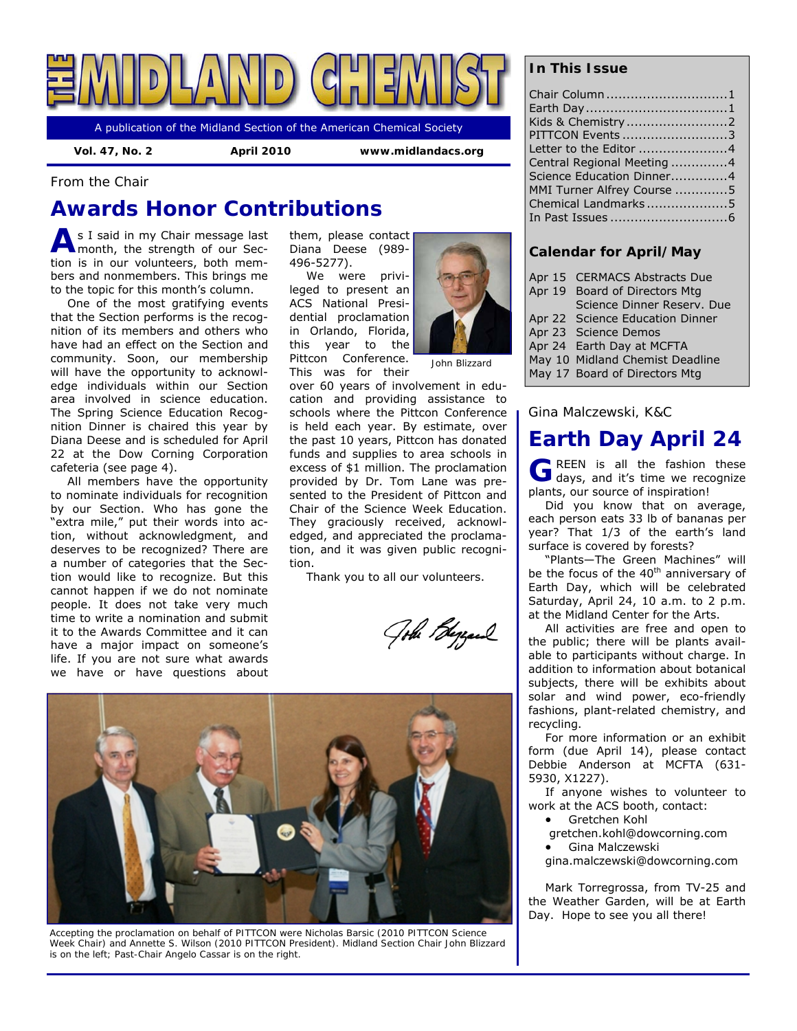

A publication of the Midland Section of the American Chemical Society

 **Vol. 47, No. 2 April 2010 www.midlandacs.org** 

*From the Chair* 

# **Awards Honor Contributions**

**A** s I said in my Chair message last month, the strength of our Section is in our volunteers, both members and nonmembers. This brings me to the topic for this month's column.

One of the most gratifying events that the Section performs is the recognition of its members and others who have had an effect on the Section and community. Soon, our membership will have the opportunity to acknowledge individuals within our Section area involved in science education. The Spring Science Education Recognition Dinner is chaired this year by Diana Deese and is scheduled for April 22 at the Dow Corning Corporation cafeteria (see page 4).

All members have the opportunity to nominate individuals for recognition by our Section. Who has gone the "extra mile," put their words into action, without acknowledgment, and deserves to be recognized? There are a number of categories that the Section would like to recognize. But this cannot happen if we do not nominate people. It does not take very much time to write a nomination and submit it to the Awards Committee and it can have a major impact on someone's life. If you are not sure what awards we have or have questions about them, please contact Diana Deese (989- 496-5277).

We were privileged to present an ACS National Presidential proclamation in Orlando, Florida, this year to the Pittcon Conference. This was for their



over 60 years of involvement in education and providing assistance to schools where the Pittcon Conference is held each year. By estimate, over the past 10 years, Pittcon has donated funds and supplies to area schools in excess of \$1 million. The proclamation provided by Dr. Tom Lane was presented to the President of Pittcon and Chair of the Science Week Education. They graciously received, acknowledged, and appreciated the proclamation, and it was given public recogni-

Thank you to all our volunteers.

Gobe Bezare



tion.

*Accepting the proclamation on behalf of PITTCON were Nicholas Barsic (2010 PITTCON Science Week Chair) and Annette S. Wilson (2010 PITTCON President). Midland Section Chair John Blizzard is on the left; Past-Chair Angelo Cassar is on the right.* 

## **In This Issue**

| Chair Column 1             |
|----------------------------|
|                            |
|                            |
| PITTCON Events 3           |
| Letter to the Editor 4     |
| Central Regional Meeting 4 |
| Science Education Dinner4  |
| MMI Turner Alfrey Course 5 |
| Chemical Landmarks5        |
|                            |
|                            |

## **Calendar for April/May**

- Apr 15 CERMACS Abstracts Due
- Apr 19 Board of Directors Mtg
	- Science Dinner Reserv. Due
- Apr 22 Science Education Dinner
- Apr 23 Science Demos
- Apr 24 Earth Day at MCFTA May 10 Midland Chemist Deadline
- May 17 Board of Directors Mtg
- 

## *Gina Malczewski, K&C*

# **Earth Day April 24**

G REEN is all the fashion these days, and it's time we recognize plants, our source of inspiration!

Did you know that on average, each person eats 33 lb of bananas per year? That 1/3 of the earth's land surface is covered by forests?

"Plants—The Green Machines" will be the focus of the  $40<sup>th</sup>$  anniversary of Earth Day, which will be celebrated Saturday, April 24, 10 a.m. to 2 p.m. at the Midland Center for the Arts.

All activities are free and open to the public; there will be plants available to participants without charge. In addition to information about botanical subjects, there will be exhibits about solar and wind power, eco-friendly fashions, plant-related chemistry, and recycling.

For more information or an exhibit form (due April 14), please contact Debbie Anderson at MCFTA (631- 5930, X1227).

If anyone wishes to volunteer to work at the ACS booth, contact:

Gretchen Kohl

gretchen.kohl@dowcorning.com

**•** Gina Malczewski

gina.malczewski@dowcorning.com

Mark Torregrossa, from TV-25 and the Weather Garden, will be at Earth Day. Hope to see you all there!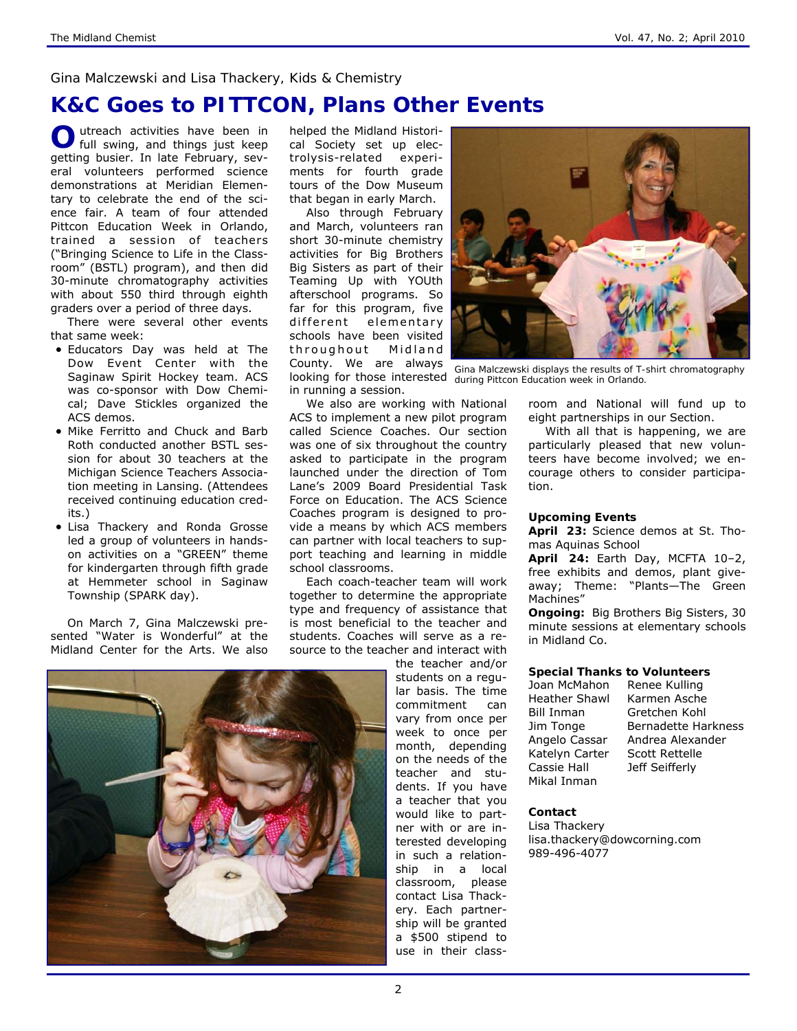### *Gina Malczewski and Lisa Thackery, Kids & Chemistry*

## **K&C Goes to PITTCON, Plans Other Events**

**O** utreach activities have been in full swing, and things just keep getting busier. In late February, several volunteers performed science demonstrations at Meridian Elementary to celebrate the end of the science fair. A team of four attended Pittcon Education Week in Orlando, trained a session of teachers ("Bringing Science to Life in the Classroom" (BSTL) program), and then did 30-minute chromatography activities with about 550 third through eighth graders over a period of three days.

There were several other events that same week:

- Educators Day was held at The Dow Event Center with the Saginaw Spirit Hockey team. ACS was co-sponsor with Dow Chemical; Dave Stickles organized the ACS demos.
- Mike Ferritto and Chuck and Barb Roth conducted another BSTL session for about 30 teachers at the Michigan Science Teachers Association meeting in Lansing. (Attendees received continuing education credits.)
- Lisa Thackery and Ronda Grosse led a group of volunteers in handson activities on a "GREEN" theme for kindergarten through fifth grade at Hemmeter school in Saginaw Township (SPARK day).

On March 7, Gina Malczewski presented "Water is Wonderful" at the Midland Center for the Arts. We also

helped the Midland Historical Society set up electrolysis-related experiments for fourth grade tours of the Dow Museum that began in early March.

Also through February and March, volunteers ran short 30-minute chemistry activities for Big Brothers Big Sisters as part of their Teaming Up with YOUth afterschool programs. So far for this program, five different elementary schools have been visited throughout Midland County. We are always in running a session.

We also are working with National ACS to implement a new pilot program called Science Coaches. Our section was one of six throughout the country asked to participate in the program launched under the direction of Tom Lane's 2009 Board Presidential Task Force on Education. The ACS Science Coaches program is designed to provide a means by which ACS members can partner with local teachers to support teaching and learning in middle school classrooms.

Each coach-teacher team will work together to determine the appropriate type and frequency of assistance that is most beneficial to the teacher and students. Coaches will serve as a resource to the teacher and interact with

the teacher and/or students on a regular basis. The time commitment can vary from once per week to once per month, depending on the needs of the teacher and students. If you have a teacher that you would like to partner with or are interested developing in such a relationship in a local classroom, please contact Lisa Thackery. Each partnership will be granted a \$500 stipend to use in their class-



looking for those interested *during Pittcon Education week in Orlando. Gina Malczewski displays the results of T-shirt chromatography* 

room and National will fund up to eight partnerships in our Section.

With all that is happening, we are particularly pleased that new volunteers have become involved; we encourage others to consider participation.

#### **Upcoming Events**

**April 23:** Science demos at St. Thomas Aquinas School

**April 24:** Earth Day, MCFTA 10–2, free exhibits and demos, plant giveaway; Theme: "Plants—The Green Machines"

**Ongoing:** Big Brothers Big Sisters, 30 minute sessions at elementary schools in Midland Co.

#### **Special Thanks to Volunteers**

Joan McMahon Renee Kulling Heather Shawl Karmen Asche Bill Inman Gretchen Kohl Katelyn Carter Scott Rettelle Cassie Hall Jeff Seifferly Mikal Inman

Jim Tonge Bernadette Harkness Angelo Cassar Andrea Alexander

#### **Contact**

Lisa Thackery lisa.thackery@dowcorning.com 989-496-4077

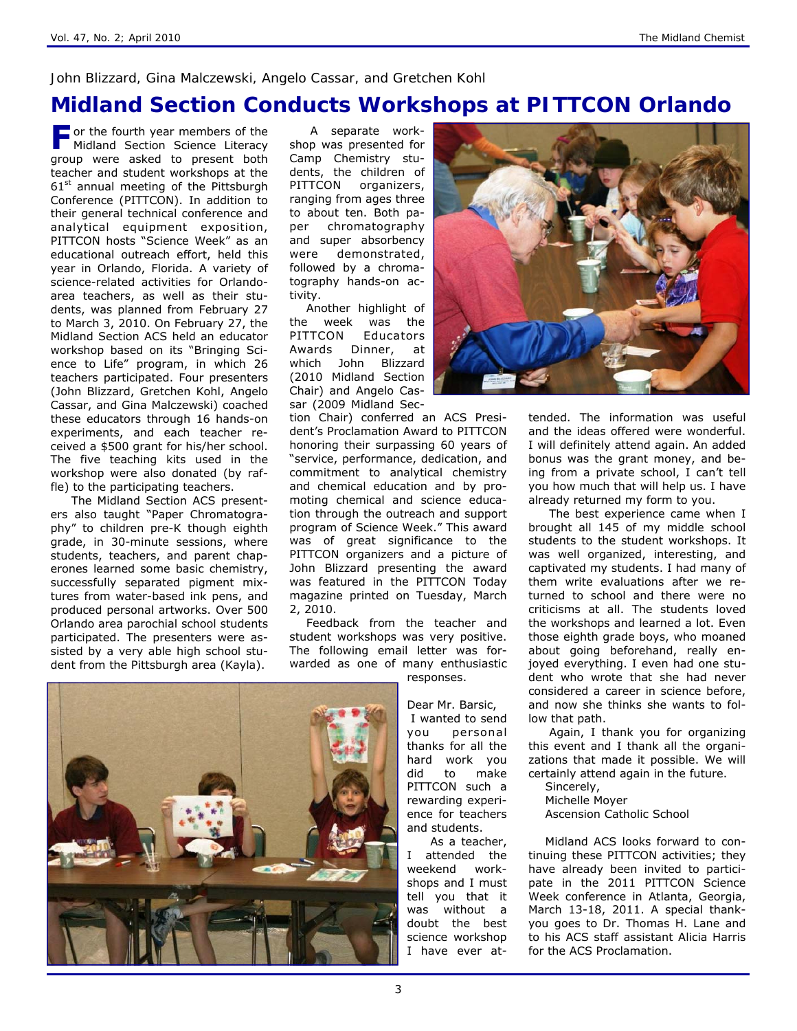### *John Blizzard, Gina Malczewski, Angelo Cassar, and Gretchen Kohl*

## **Midland Section Conducts Workshops at PITTCON Orlando**

**F** or the fourth year members of the Midland Section Science Literacy group were asked to present both teacher and student workshops at the  $61<sup>st</sup>$  annual meeting of the Pittsburgh Conference (PITTCON). In addition to their general technical conference and analytical equipment exposition, PITTCON hosts "Science Week" as an educational outreach effort, held this year in Orlando, Florida. A variety of science-related activities for Orlandoarea teachers, as well as their students, was planned from February 27 to March 3, 2010. On February 27, the Midland Section ACS held an educator workshop based on its "Bringing Science to Life" program, in which 26 teachers participated. Four presenters (John Blizzard, Gretchen Kohl, Angelo Cassar, and Gina Malczewski) coached these educators through 16 hands-on experiments, and each teacher received a \$500 grant for his/her school. The five teaching kits used in the workshop were also donated (by raffle) to the participating teachers.

 The Midland Section ACS presenters also taught "Paper Chromatography" to children pre-K though eighth grade, in 30-minute sessions, where students, teachers, and parent chaperones learned some basic chemistry, successfully separated pigment mixtures from water-based ink pens, and produced personal artworks. Over 500 Orlando area parochial school students participated. The presenters were assisted by a very able high school student from the Pittsburgh area (Kayla).

 A separate workshop was presented for Camp Chemistry students, the children of PITTCON organizers, ranging from ages three to about ten. Both paper chromatography and super absorbency were demonstrated, followed by a chromatography hands-on activity.

Another highlight of the week was the PITTCON Educators Awards Dinner, at which John Blizzard (2010 Midland Section Chair) and Angelo Cassar (2009 Midland Sec-

tion Chair) conferred an ACS President's Proclamation Award to PITTCON honoring their surpassing 60 years of "service, performance, dedication, and commitment to analytical chemistry and chemical education and by promoting chemical and science education through the outreach and support program of Science Week." This award was of great significance to the PITTCON organizers and a picture of John Blizzard presenting the award was featured in the PITTCON Today magazine printed on Tuesday, March 2, 2010.

Feedback from the teacher and student workshops was very positive. The following email letter was forwarded as one of many enthusiastic

> responses. Dear Mr. Barsic, I wanted to send you personal thanks for all the hard work you did to make PITTCON such a rewarding experience for teachers and students.

 As a teacher, I attended the weekend workshops and I must tell you that it was without a doubt the best science workshop I have ever at-



tended. The information was useful and the ideas offered were wonderful. I will definitely attend again. An added bonus was the grant money, and being from a private school, I can't tell you how much that will help us. I have already returned my form to you.

 The best experience came when I brought all 145 of my middle school students to the student workshops. It was well organized, interesting, and captivated my students. I had many of them write evaluations after we returned to school and there were no criticisms at all. The students loved the workshops and learned a lot. Even those eighth grade boys, who moaned about going beforehand, really enjoyed everything. I even had one student who wrote that she had never considered a career in science before, and now she thinks she wants to follow that path.

 Again, I thank you for organizing this event and I thank all the organizations that made it possible. We will certainly attend again in the future.

Sincerely, Michelle Moyer Ascension Catholic School

Midland ACS looks forward to continuing these PITTCON activities; they have already been invited to participate in the 2011 PITTCON Science Week conference in Atlanta, Georgia, March 13-18, 2011. A special thankyou goes to Dr. Thomas H. Lane and to his ACS staff assistant Alicia Harris for the ACS Proclamation.

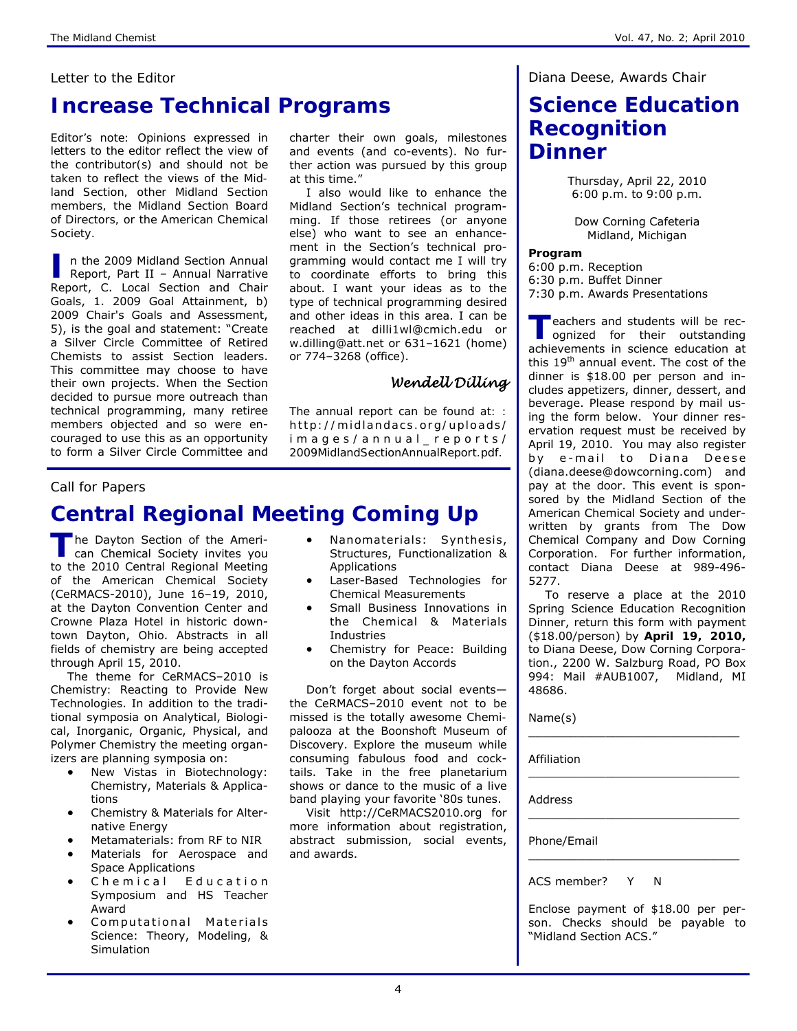### *Letter to the Editor*

## **Increase Technical Programs**

*Editor's note: Opinions expressed in letters to the editor reflect the view of the contributor(s) and should not be taken to reflect the views of the Midland Section, other Midland Section members, the Midland Section Board of Directors, or the American Chemical Society.*

n the 2009 Midland Section Annual<br>Report, Part II – Annual Narrative Report, C. Local Section and Chair Goals, 1. 2009 Goal Attainment, b) 2009 Chair's Goals and Assessment, 5), is the goal and statement: "Create a Silver Circle Committee of Retired Chemists to assist Section leaders. This committee may choose to have their own projects. When the Section decided to pursue more outreach than technical programming, many retiree members objected and so were encouraged to use this as an opportunity to form a Silver Circle Committee and

charter their own goals, milestones and events (and co-events). No further action was pursued by this group at this time."

I also would like to enhance the Midland Section's technical programming. If those retirees (or anyone else) who want to see an enhancement in the Section's technical programming would contact me I will try to coordinate efforts to bring this about. I want your ideas as to the type of technical programming desired and other ideas in this area. I can be reached at dilli1wl@cmich.edu or w.dilling@att.net or 631–1621 (home) or 774–3268 (office).

## *Wendell Dilling*

*The annual report can be found at: : http://midlandacs.org/uploads/ i m a g e s / a n n u a l \_ r e p o r t s / 2009MidlandSectionAnnualReport.pdf.* 

### *Call for Papers*

# **Central Regional Meeting Coming Up**

The Dayton Section of the Ameri-<br>
can Chemical Society invites you to the 2010 Central Regional Meeting of the American Chemical Society (CeRMACS-2010), June 16–19, 2010, at the Dayton Convention Center and Crowne Plaza Hotel in historic downtown Dayton, Ohio. Abstracts in all fields of chemistry are being accepted through April 15, 2010.

The theme for CeRMACS–2010 is *Chemistry: Reacting to Provide New Technologies*. In addition to the traditional symposia on Analytical, Biological, Inorganic, Organic, Physical, and Polymer Chemistry the meeting organizers are planning symposia on:

- New Vistas in Biotechnology: Chemistry, Materials & Applications
- Chemistry & Materials for Alternative Energy
- Metamaterials: from RF to NIR
- Materials for Aerospace and Space Applications
- Chemical Education Symposium and HS Teacher Award
- Computational Materials Science: Theory, Modeling, & **Simulation**
- Nanomaterials: Synthesis, Structures, Functionalization & Applications
- Laser-Based Technologies for Chemical Measurements
- Small Business Innovations in the Chemical & Materials Industries
- Chemistry for Peace: Building on the Dayton Accords

Don't forget about social events the CeRMACS–2010 event not to be missed is the totally awesome *Chemipalooza* at the Boonshoft Museum of Discovery. Explore the museum while consuming fabulous food and cocktails. Take in the free planetarium shows or dance to the music of a live band playing your favorite '80s tunes.

Visit http://CeRMACS2010.org for more information about registration, abstract submission, social events, and awards.

### *Diana Deese, Awards Chair*

## **Science Education Recognition Dinner**

Thursday, April 22, 2010 6:00 p.m. to 9:00 p.m.

Dow Corning Cafeteria Midland, Michigan

**Program** 

6:00 p.m. Reception 6:30 p.m. Buffet Dinner 7:30 p.m. Awards Presentations

**T** eachers and students will be rec-<br>ognized for their outstanding achievements in science education at this 19th annual event. The cost of the dinner is \$18.00 per person and includes appetizers, dinner, dessert, and beverage. Please respond by mail using the form below. Your dinner reservation request must be received by April 19, 2010. You may also register by e-mail to Diana Deese (diana.deese@dowcorning.com) and pay at the door. This event is sponsored by the Midland Section of the American Chemical Society and underwritten by grants from The Dow Chemical Company and Dow Corning Corporation. For further information, contact Diana Deese at 989-496- 5277.

To reserve a place at the 2010 Spring Science Education Recognition Dinner, return this form with payment (\$18.00/person) by **April 19, 2010,**  to Diana Deese, Dow Corning Corporation., 2200 W. Salzburg Road, PO Box 994: Mail #AUB1007, Midland, MI 48686.

\_\_\_\_\_\_\_\_\_\_\_\_\_\_\_\_\_\_\_\_\_\_\_\_\_\_\_\_\_\_

\_\_\_\_\_\_\_\_\_\_\_\_\_\_\_\_\_\_\_\_\_\_\_\_\_\_\_\_\_\_

\_\_\_\_\_\_\_\_\_\_\_\_\_\_\_\_\_\_\_\_\_\_\_\_\_\_\_\_\_\_

\_\_\_\_\_\_\_\_\_\_\_\_\_\_\_\_\_\_\_\_\_\_\_\_\_\_\_\_\_\_

Name(s)

Affiliation

**Address** 

Phone/Email

ACS member? Y N

Enclose payment of \$18.00 per person. Checks should be payable to "Midland Section ACS."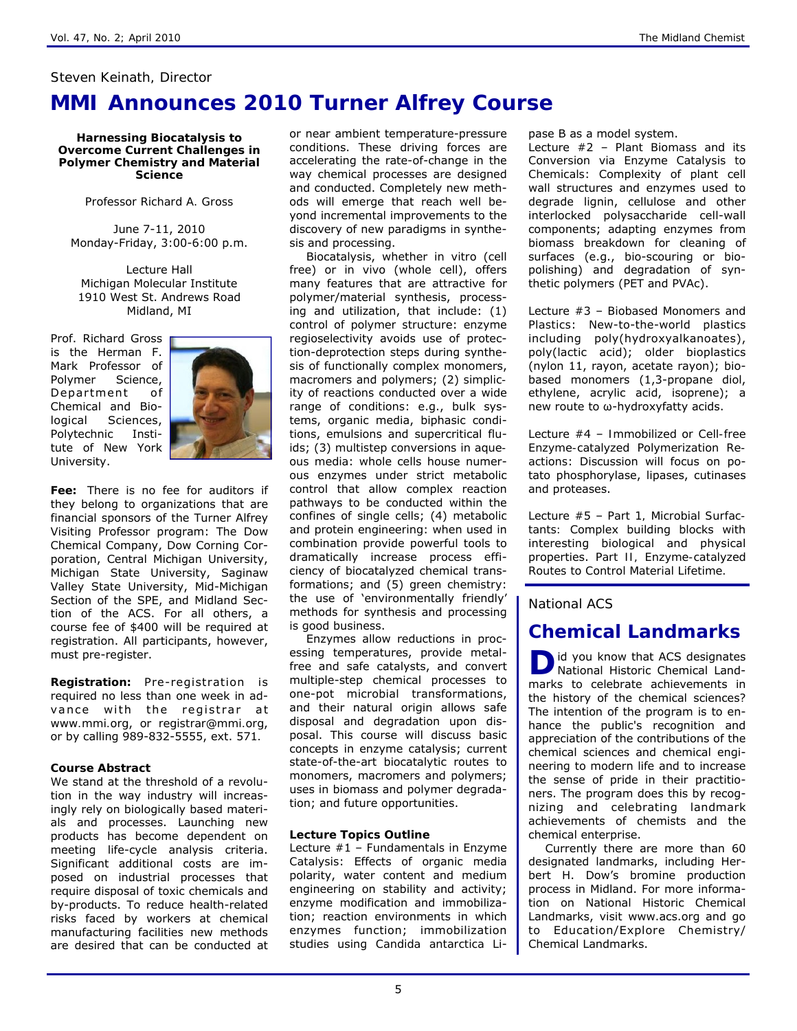### *Steven Keinath, Director*

## **MMI Announces 2010 Turner Alfrey Course**

**Harnessing Biocatalysis to Overcome Current Challenges in Polymer Chemistry and Material Science** 

*Professor Richard A. Gross* 

June 7-11, 2010 Monday-Friday, 3:00-6:00 p.m.

Lecture Hall Michigan Molecular Institute 1910 West St. Andrews Road Midland, MI

Prof. Richard Gross is the Herman F. Mark Professor of Polymer Science, Department of Chemical and Biological Sciences, Polytechnic Institute of New York University.



**Fee:** There is no fee for auditors if they belong to organizations that are financial sponsors of the Turner Alfrey Visiting Professor program: The Dow Chemical Company, Dow Corning Corporation, Central Michigan University, Michigan State University, Saginaw Valley State University, Mid-Michigan Section of the SPE, and Midland Section of the ACS. For all others, a course fee of \$400 will be required at registration. All participants, however, must pre-register.

**Registration:** Pre-registration is required no less than one week in advance with the registrar at *www.mmi.org*, or *registrar@mmi.org*, or by calling 989-832-5555, ext. 571*.* 

### **Course Abstract**

We stand at the threshold of a revolution in the way industry will increasingly rely on biologically based materials and processes. Launching new products has become dependent on meeting life-cycle analysis criteria. Significant additional costs are imposed on industrial processes that require disposal of toxic chemicals and by-products. To reduce health-related risks faced by workers at chemical manufacturing facilities new methods are desired that can be conducted at or near ambient temperature-pressure conditions. These driving forces are accelerating the rate-of-change in the way chemical processes are designed and conducted. Completely new methods will emerge that reach well beyond incremental improvements to the discovery of new paradigms in synthesis and processing.

Biocatalysis, whether *in vitro* (cell free) or *in vivo* (whole cell), offers many features that are attractive for polymer/material synthesis, processing and utilization, that include: (1) *control of polymer structure*: enzyme regioselectivity avoids use of protection-deprotection steps during synthesis of functionally complex monomers, macromers and polymers; (2) *simplicity of reactions conducted over a wide range of conditions*: e.g., bulk systems, organic media, biphasic conditions, emulsions and supercritical fluids; (3) *multistep conversions in aqueous media*: whole cells house numerous enzymes under strict metabolic control that allow complex reaction pathways to be conducted within the confines of single cells; (4) *metabolic and protein engineering*: when used in combination provide powerful tools to dramatically increase process efficiency of biocatalyzed chemical transformations; and (5) *green chemistry*: the use of 'environmentally friendly' methods for synthesis and processing is good business.

Enzymes allow reductions in processing temperatures, provide metalfree and safe catalysts, and convert multiple-step chemical processes to one-pot microbial transformations, and their natural origin allows safe disposal and degradation upon disposal. This course will discuss basic concepts in enzyme catalysis; current state-of-the-art biocatalytic routes to monomers, macromers and polymers; uses in biomass and polymer degradation; and future opportunities.

### **Lecture Topics Outline**

Lecture #1 – *Fundamentals in Enzyme Catalysis*: Effects of organic media polarity, water content and medium engineering on stability and activity; enzyme modification and immobilization; reaction environments in which enzymes function; immobilization studies using *Candida antarctica* Lipase B as a model system.

Lecture #2 – *Plant Biomass and its Conversion via Enzyme Catalysis to Chemicals*: Complexity of plant cell wall structures and enzymes used to degrade lignin, cellulose and other interlocked polysaccharide cell-wall components; adapting enzymes from biomass breakdown for cleaning of surfaces (e.g., bio-scouring or biopolishing) and degradation of synthetic polymers (PET and PVAc).

Lecture #3 – *Biobased Monomers and Plastics*: New-to-the-world plastics including poly(hydroxyalkanoates), poly(lactic acid); older bioplastics (nylon 11, rayon, acetate rayon); biobased monomers (1,3-propane diol, ethylene, acrylic acid, isoprene); a new route to ω-hydroxyfatty acids.

Lecture #4 – *Immobilized or Cell-free Enzyme-catalyzed Polymerization Reactions*: Discussion will focus on potato phosphorylase, lipases, cutinases and proteases.

Lecture #5 – *Part 1, Microbial Surfactants:* Complex building blocks with interesting biological and physical properties. *Part II, Enzyme-catalyzed Routes to Control Material Lifetime.*

## *National ACS*

## **Chemical Landmarks**

**D** id you know that ACS designates National Historic Chemical Landmarks to celebrate achievements in the history of the chemical sciences? The intention of the program is to enhance the public's recognition and appreciation of the contributions of the chemical sciences and chemical engineering to modern life and to increase the sense of pride in their practitioners. The program does this by recognizing and celebrating landmark achievements of chemists and the chemical enterprise.

Currently there are more than 60 designated landmarks, including Herbert H. Dow's bromine production process in Midland. For more information on National Historic Chemical Landmarks, visit www.acs.org and go to Education/Explore Chemistry/ Chemical Landmarks.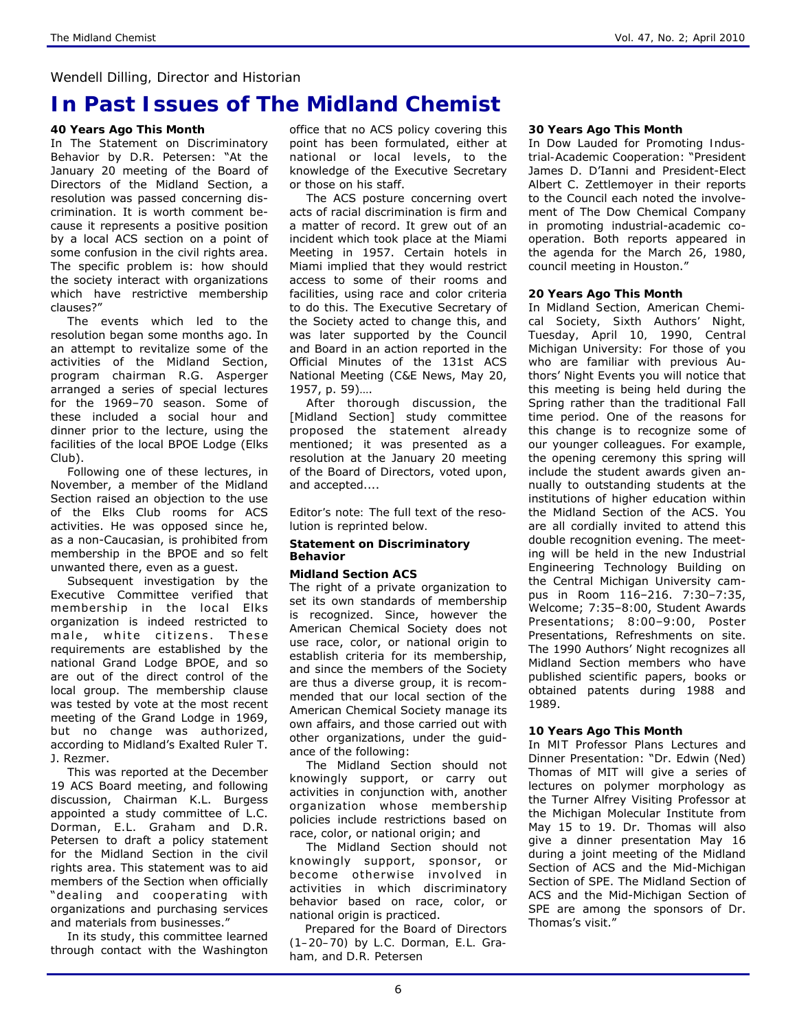### *Wendell Dilling, Director and Historian*

## **In Past Issues of** *The Midland Chemist*

### **40 Years Ago This Month**

In *The Statement on Discriminatory Behavior* by D.R. Petersen: "At the January 20 meeting of the Board of Directors of the Midland Section, a resolution was passed concerning discrimination. It is worth comment because it represents a positive position by a local ACS section on a point of some confusion in the civil rights area. The specific problem is: how should the society interact with organizations which have restrictive membership clauses?"

The events which led to the resolution began some months ago. In an attempt to revitalize some of the activities of the Midland Section, program chairman R.G. Asperger arranged a series of special lectures for the 1969–70 season. Some of these included a social hour and dinner prior to the lecture, using the facilities of the local BPOE Lodge (Elks Club).

Following one of these lectures, in November, a member of the Midland Section raised an objection to the use of the Elks Club rooms for ACS activities. He was opposed since he, as a non-Caucasian, is prohibited from membership in the BPOE and so felt unwanted there, even as a guest.

Subsequent investigation by the Executive Committee verified that membership in the local Elks organization is indeed restricted to male, white citizens. These requirements are established by the national Grand Lodge BPOE, and so are out of the direct control of the local group. The membership clause was tested by vote at the most recent meeting of the Grand Lodge in 1969, but no change was authorized, according to Midland's Exalted Ruler T. J. Rezmer.

This was reported at the December 19 ACS Board meeting, and following discussion, Chairman K.L. Burgess appointed a study committee of L.C. Dorman, E.L. Graham and D.R. Petersen to draft a policy statement for the Midland Section in the civil rights area. This statement was to aid members of the Section when officially "dealing and cooperating with organizations and purchasing services and materials from businesses."

In its study, this committee learned through contact with the Washington office that no ACS policy covering this point has been formulated, either at national or local levels, to the knowledge of the Executive Secretary or those on his staff.

The ACS posture concerning overt acts of racial discrimination is firm and a matter of record. It grew out of an incident which took place at the Miami Meeting in 1957. Certain hotels in Miami implied that they would restrict access to some of their rooms and facilities, using race and color criteria to do this. The Executive Secretary of the Society acted to change this, and was later supported by the Council and Board in an action reported in the Official Minutes of the 131st ACS National Meeting (*C&E News*, May 20, 1957, p. 59)….

After thorough discussion, the [Midland Section] study committee proposed the statement already mentioned; it was presented as a resolution at the January 20 meeting of the Board of Directors, voted upon, and accepted....

*Editor's note: The full text of the resolution is reprinted below.* 

#### **Statement on Discriminatory Behavior**

### **Midland Section ACS**

The right of a private organization to set its own standards of membership is recognized. Since, however the American Chemical Society does not use race, color, or national origin to establish criteria for its membership, and since the members of the Society are thus a diverse group, it is recommended that our local section of the American Chemical Society manage its own affairs, and those carried out with other organizations, under the guidance of the following:

The Midland Section should not knowingly support, or carry out activities in conjunction with, another organization whose membership policies include restrictions based on race, color, or national origin; and

The Midland Section should not knowingly support, sponsor, or become otherwise involved in activities in which discriminatory behavior based on race, color, or national origin is practiced.

 *Prepared for the Board of Directors (1–20–70) by L.C. Dorman, E.L. Graham, and D.R. Petersen* 

#### **30 Years Ago This Month**

In *Dow Lauded for Promoting Industrial-Academic Cooperation*: "President James D. D'Ianni and President-Elect Albert C. Zettlemoyer in their reports to the Council each noted the involvement of The Dow Chemical Company in promoting industrial-academic cooperation. Both reports appeared in the agenda for the March 26, 1980, council meeting in Houston."

#### **20 Years Ago This Month**

In *Midland Section, American Chemical Society, Sixth Authors' Night, Tuesday, April 10, 1990, Central Michigan University:* For those of you who are familiar with previous Authors' Night Events you will notice that this meeting is being held during the Spring rather than the traditional Fall time period. One of the reasons for this change is to recognize some of our younger colleagues. For example, the opening ceremony this spring will include the student awards given annually to outstanding students at the institutions of higher education within the Midland Section of the ACS. You are all cordially invited to attend this double recognition evening. The meeting will be held in the new Industrial Engineering Technology Building on the Central Michigan University campus in Room 116–216. 7:30–7:35, Welcome; 7:35–8:00, Student Awards Presentations; 8:00–9:00, Poster Presentations, Refreshments on site. The 1990 Authors' Night recognizes all Midland Section members who have published scientific papers, books or obtained patents during 1988 and 1989.

### **10 Years Ago This Month**

In *MIT Professor Plans Lectures and Dinner Presentation*: "Dr. Edwin (Ned) Thomas of MIT will give a series of lectures on polymer morphology as the Turner Alfrey Visiting Professor at the Michigan Molecular Institute from May 15 to 19. Dr. Thomas will also give a dinner presentation May 16 during a joint meeting of the Midland Section of ACS and the Mid-Michigan Section of SPE. The Midland Section of ACS and the Mid-Michigan Section of SPE are among the sponsors of Dr. Thomas's visit."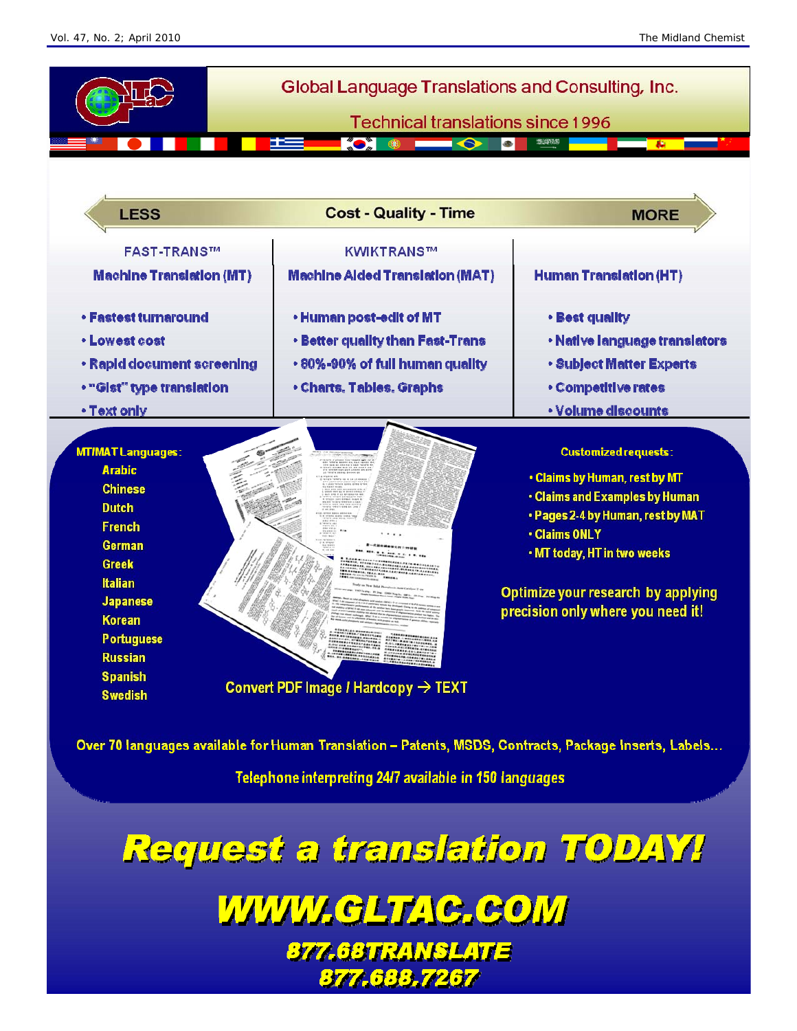

Over 70 languages available for Human Translation - Patents, MSDS, Contracts, Package Inserts, Labels...

Telephone interpreting 24/7 available in 150 languages

Request a translation TODAY!

WWW.GLTAC.COM **877.68TRANSLATE** 877.688.7267